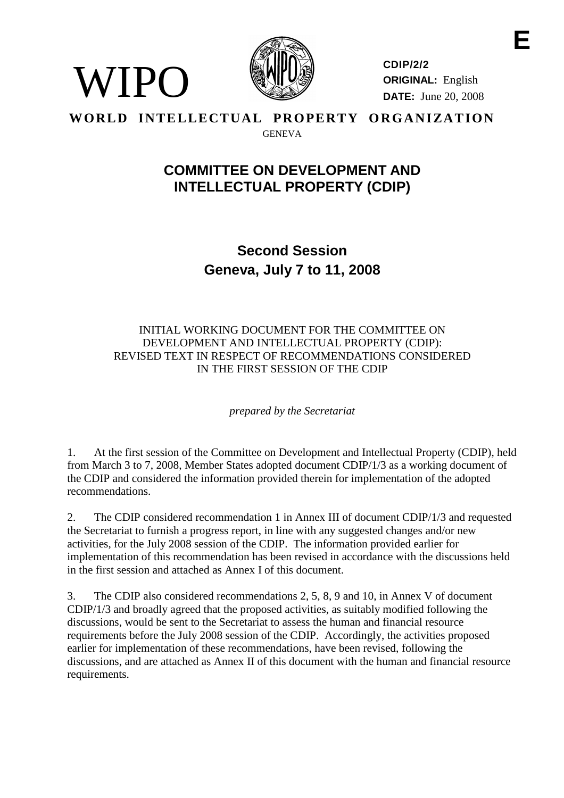

VIPO

**CDIP/2/2 ORIGINAL:** English **DATE:** June 20, 2008

### **WORLD INTELLECTUAL PROPERTY ORGANIZATION** GENEVA

# **COMMITTEE ON DEVELOPMENT AND INTELLECTUAL PROPERTY (CDIP)**

**Second Session Geneva, July 7 to 11, 2008**

### INITIAL WORKING DOCUMENT FOR THE COMMITTEE ON DEVELOPMENT AND INTELLECTUAL PROPERTY (CDIP): REVISED TEXT IN RESPECT OF RECOMMENDATIONS CONSIDERED IN THE FIRST SESSION OF THE CDIP

*prepared by the Secretariat*

1. At the first session of the Committee on Development and Intellectual Property (CDIP), held from March 3 to 7, 2008, Member States adopted document CDIP/1/3 as a working document of the CDIP and considered the information provided therein for implementation of the adopted recommendations.

2. The CDIP considered recommendation 1 in Annex III of document CDIP/1/3 and requested the Secretariat to furnish a progress report, in line with any suggested changes and/or new activities, for the July 2008 session of the CDIP. The information provided earlier for implementation of this recommendation has been revised in accordance with the discussions held in the first session and attached as Annex I of this document.

3. The CDIP also considered recommendations 2, 5, 8, 9 and 10, in Annex V of document CDIP/1/3 and broadly agreed that the proposed activities, as suitably modified following the discussions, would be sent to the Secretariat to assess the human and financial resource requirements before the July 2008 session of the CDIP. Accordingly, the activities proposed earlier for implementation of these recommendations, have been revised, following the discussions, and are attached as Annex II of this document with the human and financial resource requirements.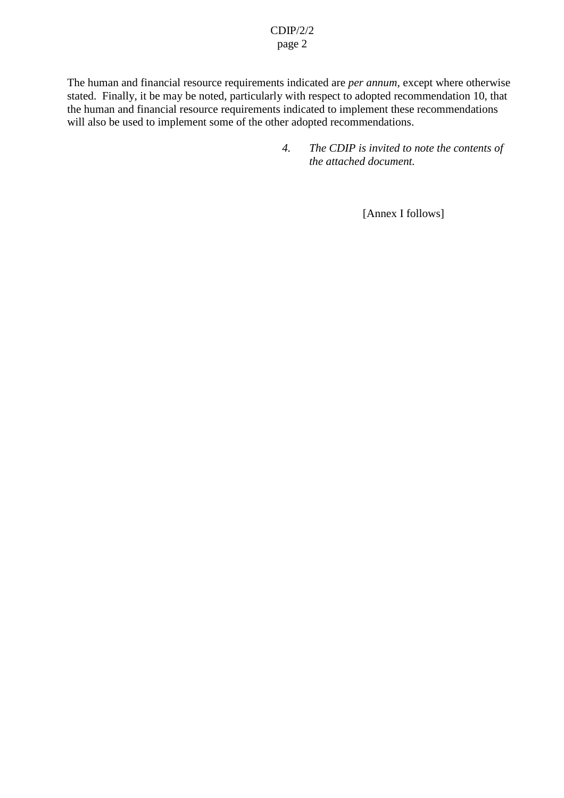### CDIP/2/2 page 2

The human and financial resource requirements indicated are *per annum,* except where otherwise stated. Finally, it be may be noted, particularly with respect to adopted recommendation 10, that the human and financial resource requirements indicated to implement these recommendations will also be used to implement some of the other adopted recommendations.

> *4. The CDIP is invited to note the contents of the attached document.*

> > [Annex I follows]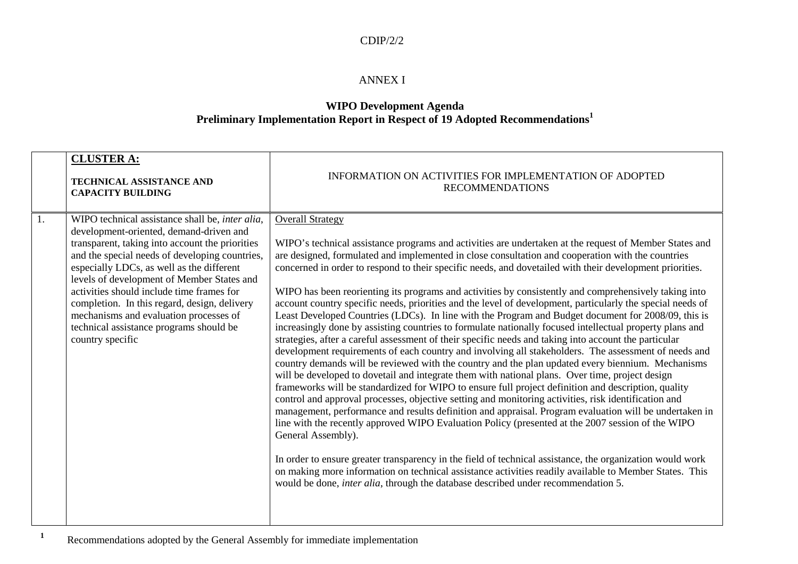#### CDIP/2/2

### ANNEX I

### **WIPO Development Agenda Preliminary Implementation Report in Respect of <sup>19</sup> Adopted Recommendations<sup>1</sup>**

|                | <b>CLUSTER A:</b><br>TECHNICAL ASSISTANCE AND<br><b>CAPACITY BUILDING</b>                                                                                                                                                                                                                                                                                                                                                                                                                        | INFORMATION ON ACTIVITIES FOR IMPLEMENTATION OF ADOPTED<br><b>RECOMMENDATIONS</b>                                                                                                                                                                                                                                                                                                                                                                                                                                                                                                                                                                                                                                                                                                                                                                                                                                                                                                                                                                                                                                                                                                                                                                                                                                                                                                                                                                                                                                                                                                                                                                                                                                                                                                                                                                                                                                                                                                     |
|----------------|--------------------------------------------------------------------------------------------------------------------------------------------------------------------------------------------------------------------------------------------------------------------------------------------------------------------------------------------------------------------------------------------------------------------------------------------------------------------------------------------------|---------------------------------------------------------------------------------------------------------------------------------------------------------------------------------------------------------------------------------------------------------------------------------------------------------------------------------------------------------------------------------------------------------------------------------------------------------------------------------------------------------------------------------------------------------------------------------------------------------------------------------------------------------------------------------------------------------------------------------------------------------------------------------------------------------------------------------------------------------------------------------------------------------------------------------------------------------------------------------------------------------------------------------------------------------------------------------------------------------------------------------------------------------------------------------------------------------------------------------------------------------------------------------------------------------------------------------------------------------------------------------------------------------------------------------------------------------------------------------------------------------------------------------------------------------------------------------------------------------------------------------------------------------------------------------------------------------------------------------------------------------------------------------------------------------------------------------------------------------------------------------------------------------------------------------------------------------------------------------------|
| $\mathbf{1}$ . | WIPO technical assistance shall be, inter alia,<br>development-oriented, demand-driven and<br>transparent, taking into account the priorities<br>and the special needs of developing countries,<br>especially LDCs, as well as the different<br>levels of development of Member States and<br>activities should include time frames for<br>completion. In this regard, design, delivery<br>mechanisms and evaluation processes of<br>technical assistance programs should be<br>country specific | <b>Overall Strategy</b><br>WIPO's technical assistance programs and activities are undertaken at the request of Member States and<br>are designed, formulated and implemented in close consultation and cooperation with the countries<br>concerned in order to respond to their specific needs, and dovetailed with their development priorities.<br>WIPO has been reorienting its programs and activities by consistently and comprehensively taking into<br>account country specific needs, priorities and the level of development, particularly the special needs of<br>Least Developed Countries (LDCs). In line with the Program and Budget document for 2008/09, this is<br>increasingly done by assisting countries to formulate nationally focused intellectual property plans and<br>strategies, after a careful assessment of their specific needs and taking into account the particular<br>development requirements of each country and involving all stakeholders. The assessment of needs and<br>country demands will be reviewed with the country and the plan updated every biennium. Mechanisms<br>will be developed to dovetail and integrate them with national plans. Over time, project design<br>frameworks will be standardized for WIPO to ensure full project definition and description, quality<br>control and approval processes, objective setting and monitoring activities, risk identification and<br>management, performance and results definition and appraisal. Program evaluation will be undertaken in<br>line with the recently approved WIPO Evaluation Policy (presented at the 2007 session of the WIPO<br>General Assembly).<br>In order to ensure greater transparency in the field of technical assistance, the organization would work<br>on making more information on technical assistance activities readily available to Member States. This<br>would be done, inter alia, through the database described under recommendation 5. |

**1**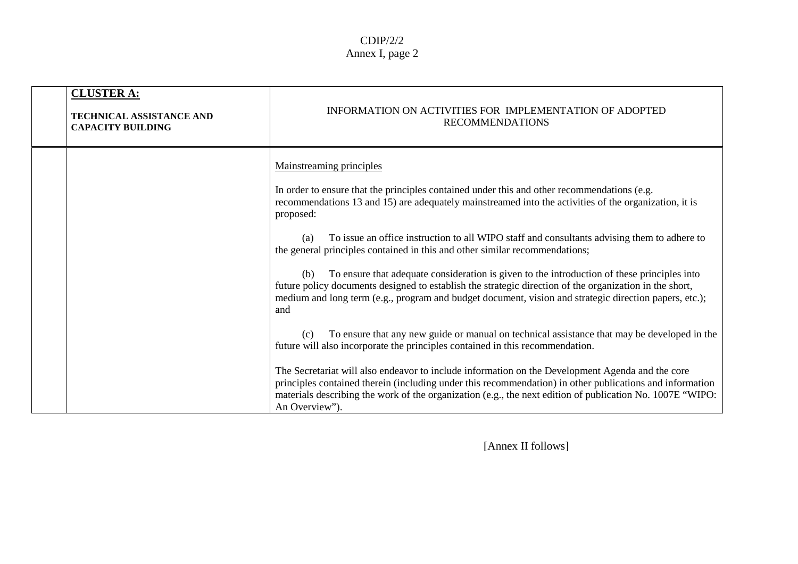| <b>CLUSTER A:</b><br><b>TECHNICAL ASSISTANCE AND</b><br><b>CAPACITY BUILDING</b> | INFORMATION ON ACTIVITIES FOR IMPLEMENTATION OF ADOPTED<br><b>RECOMMENDATIONS</b>                                                                                                                                                                                                                                                                                                                                                                                                                                                                                                                                                                                                                                                                                                                                                                                                                                                                                                                                                                                                                                                                                                  |
|----------------------------------------------------------------------------------|------------------------------------------------------------------------------------------------------------------------------------------------------------------------------------------------------------------------------------------------------------------------------------------------------------------------------------------------------------------------------------------------------------------------------------------------------------------------------------------------------------------------------------------------------------------------------------------------------------------------------------------------------------------------------------------------------------------------------------------------------------------------------------------------------------------------------------------------------------------------------------------------------------------------------------------------------------------------------------------------------------------------------------------------------------------------------------------------------------------------------------------------------------------------------------|
|                                                                                  | <b>Mainstreaming principles</b><br>In order to ensure that the principles contained under this and other recommendations (e.g.<br>recommendations 13 and 15) are adequately mainstreamed into the activities of the organization, it is<br>proposed:<br>To issue an office instruction to all WIPO staff and consultants advising them to adhere to<br>(a)<br>the general principles contained in this and other similar recommendations;<br>To ensure that adequate consideration is given to the introduction of these principles into<br>(b)<br>future policy documents designed to establish the strategic direction of the organization in the short,<br>medium and long term (e.g., program and budget document, vision and strategic direction papers, etc.);<br>and<br>To ensure that any new guide or manual on technical assistance that may be developed in the<br>(c)<br>future will also incorporate the principles contained in this recommendation.<br>The Secretariat will also endeavor to include information on the Development Agenda and the core<br>principles contained therein (including under this recommendation) in other publications and information |
|                                                                                  | materials describing the work of the organization (e.g., the next edition of publication No. 1007E "WIPO:<br>An Overview").                                                                                                                                                                                                                                                                                                                                                                                                                                                                                                                                                                                                                                                                                                                                                                                                                                                                                                                                                                                                                                                        |

[Annex II follows]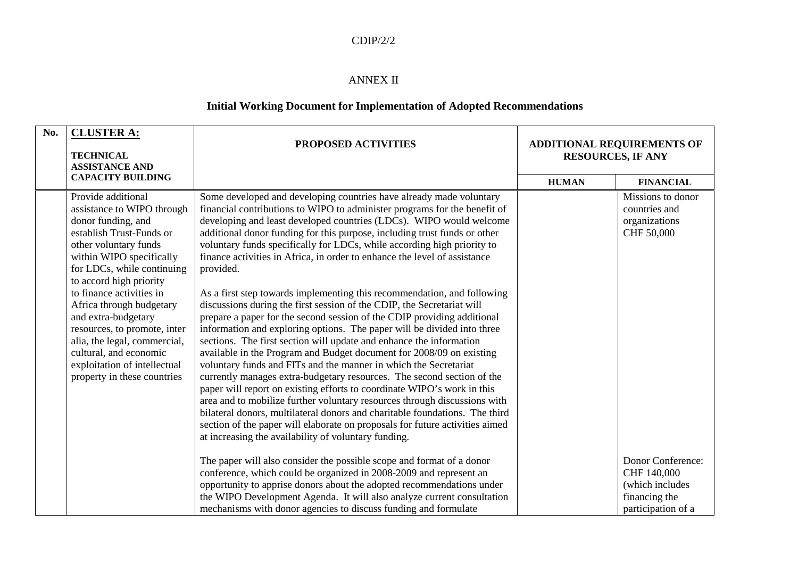#### CDIP/2/2

#### ANNEX II

#### **Initial Working Document for Implementation of Adopted Recommendations**

| No. | <b>CLUSTER A:</b>                                 | PROPOSED ACTIVITIES                                                          | <b>ADDITIONAL REQUIREMENTS OF</b><br><b>RESOURCES, IF ANY</b> |                    |
|-----|---------------------------------------------------|------------------------------------------------------------------------------|---------------------------------------------------------------|--------------------|
|     | <b>TECHNICAL</b>                                  |                                                                              |                                                               |                    |
|     | <b>ASSISTANCE AND</b><br><b>CAPACITY BUILDING</b> |                                                                              |                                                               |                    |
|     |                                                   |                                                                              | <b>HUMAN</b>                                                  | <b>FINANCIAL</b>   |
|     | Provide additional                                | Some developed and developing countries have already made voluntary          |                                                               | Missions to donor  |
|     | assistance to WIPO through                        | financial contributions to WIPO to administer programs for the benefit of    |                                                               | countries and      |
|     | donor funding, and                                | developing and least developed countries (LDCs). WIPO would welcome          |                                                               | organizations      |
|     | establish Trust-Funds or                          | additional donor funding for this purpose, including trust funds or other    |                                                               | CHF 50,000         |
|     | other voluntary funds                             | voluntary funds specifically for LDCs, while according high priority to      |                                                               |                    |
|     | within WIPO specifically                          | finance activities in Africa, in order to enhance the level of assistance    |                                                               |                    |
|     | for LDCs, while continuing                        | provided.                                                                    |                                                               |                    |
|     | to accord high priority                           |                                                                              |                                                               |                    |
|     | to finance activities in                          | As a first step towards implementing this recommendation, and following      |                                                               |                    |
|     | Africa through budgetary                          | discussions during the first session of the CDIP, the Secretariat will       |                                                               |                    |
|     | and extra-budgetary                               | prepare a paper for the second session of the CDIP providing additional      |                                                               |                    |
|     | resources, to promote, inter                      | information and exploring options. The paper will be divided into three      |                                                               |                    |
|     | alia, the legal, commercial,                      | sections. The first section will update and enhance the information          |                                                               |                    |
|     | cultural, and economic                            | available in the Program and Budget document for 2008/09 on existing         |                                                               |                    |
|     | exploitation of intellectual                      | voluntary funds and FITs and the manner in which the Secretariat             |                                                               |                    |
|     | property in these countries                       | currently manages extra-budgetary resources. The second section of the       |                                                               |                    |
|     |                                                   | paper will report on existing efforts to coordinate WIPO's work in this      |                                                               |                    |
|     |                                                   | area and to mobilize further voluntary resources through discussions with    |                                                               |                    |
|     |                                                   | bilateral donors, multilateral donors and charitable foundations. The third  |                                                               |                    |
|     |                                                   | section of the paper will elaborate on proposals for future activities aimed |                                                               |                    |
|     |                                                   | at increasing the availability of voluntary funding.                         |                                                               |                    |
|     |                                                   |                                                                              |                                                               | Donor Conference:  |
|     |                                                   | The paper will also consider the possible scope and format of a donor        |                                                               | CHF 140,000        |
|     |                                                   | conference, which could be organized in 2008-2009 and represent an           |                                                               | (which includes    |
|     |                                                   | opportunity to apprise donors about the adopted recommendations under        |                                                               |                    |
|     |                                                   | the WIPO Development Agenda. It will also analyze current consultation       |                                                               | financing the      |
|     |                                                   | mechanisms with donor agencies to discuss funding and formulate              |                                                               | participation of a |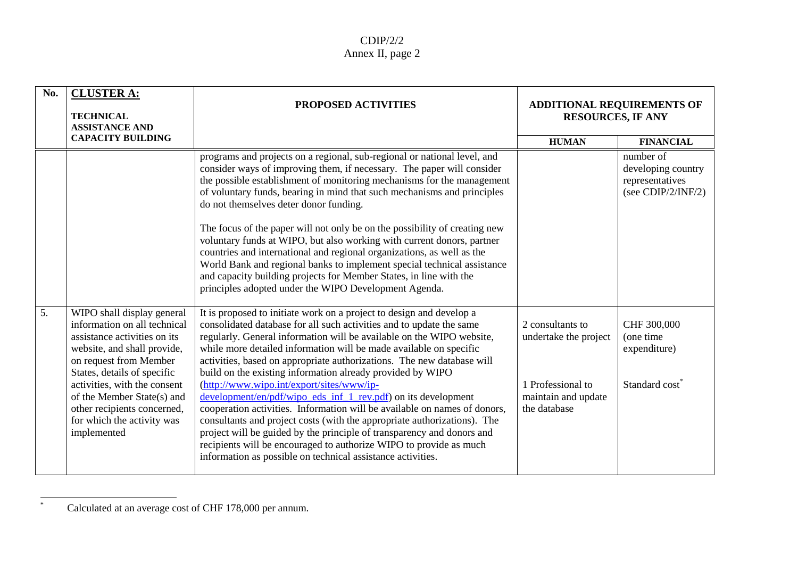| No. | <b>CLUSTER A:</b><br><b>TECHNICAL</b><br><b>ASSISTANCE AND</b>                                                                                                                                                                                                                                                               | PROPOSED ACTIVITIES                                                                                                                                                                                                                                                                                                                                                                                                                                                                                                                                                                                                                                                                                                                                                                                                                                                                                                       | <b>ADDITIONAL REQUIREMENTS OF</b><br><b>RESOURCES, IF ANY</b>                                         |                                                                          |
|-----|------------------------------------------------------------------------------------------------------------------------------------------------------------------------------------------------------------------------------------------------------------------------------------------------------------------------------|---------------------------------------------------------------------------------------------------------------------------------------------------------------------------------------------------------------------------------------------------------------------------------------------------------------------------------------------------------------------------------------------------------------------------------------------------------------------------------------------------------------------------------------------------------------------------------------------------------------------------------------------------------------------------------------------------------------------------------------------------------------------------------------------------------------------------------------------------------------------------------------------------------------------------|-------------------------------------------------------------------------------------------------------|--------------------------------------------------------------------------|
|     | <b>CAPACITY BUILDING</b>                                                                                                                                                                                                                                                                                                     |                                                                                                                                                                                                                                                                                                                                                                                                                                                                                                                                                                                                                                                                                                                                                                                                                                                                                                                           | <b>HUMAN</b>                                                                                          | <b>FINANCIAL</b>                                                         |
|     |                                                                                                                                                                                                                                                                                                                              | programs and projects on a regional, sub-regional or national level, and<br>consider ways of improving them, if necessary. The paper will consider<br>the possible establishment of monitoring mechanisms for the management<br>of voluntary funds, bearing in mind that such mechanisms and principles<br>do not themselves deter donor funding.<br>The focus of the paper will not only be on the possibility of creating new<br>voluntary funds at WIPO, but also working with current donors, partner<br>countries and international and regional organizations, as well as the<br>World Bank and regional banks to implement special technical assistance<br>and capacity building projects for Member States, in line with the<br>principles adopted under the WIPO Development Agenda.                                                                                                                             |                                                                                                       | number of<br>developing country<br>representatives<br>(see CDIP/2/INF/2) |
| 5.  | WIPO shall display general<br>information on all technical<br>assistance activities on its<br>website, and shall provide,<br>on request from Member<br>States, details of specific<br>activities, with the consent<br>of the Member State(s) and<br>other recipients concerned,<br>for which the activity was<br>implemented | It is proposed to initiate work on a project to design and develop a<br>consolidated database for all such activities and to update the same<br>regularly. General information will be available on the WIPO website,<br>while more detailed information will be made available on specific<br>activities, based on appropriate authorizations. The new database will<br>build on the existing information already provided by WIPO<br>(http://www.wipo.int/export/sites/www/ip-<br>development/en/pdf/wipo_eds_inf_1_rev.pdf) on its development<br>cooperation activities. Information will be available on names of donors,<br>consultants and project costs (with the appropriate authorizations). The<br>project will be guided by the principle of transparency and donors and<br>recipients will be encouraged to authorize WIPO to provide as much<br>information as possible on technical assistance activities. | 2 consultants to<br>undertake the project<br>1 Professional to<br>maintain and update<br>the database | CHF 300,000<br>(one time<br>expenditure)<br>Standard cost <sup>®</sup>   |

 $\ast$ Calculated at an average cost of CHF 178,000 per annum.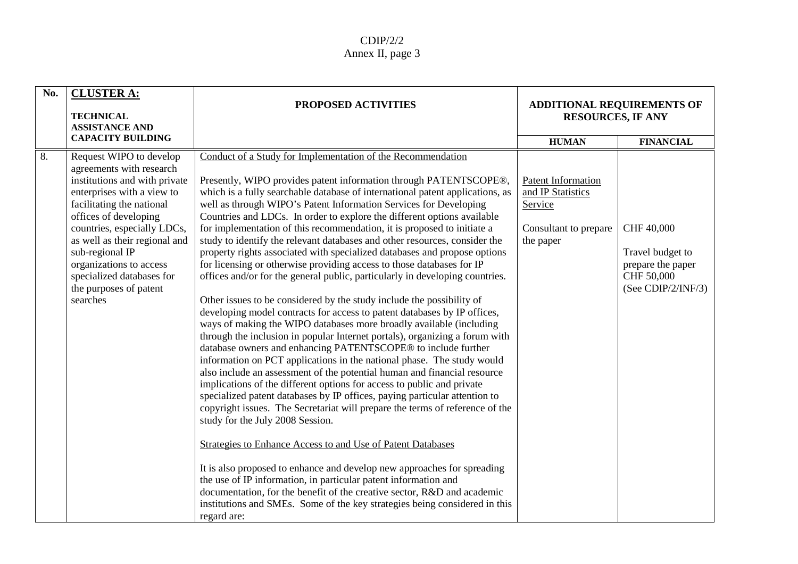| No. | <b>CLUSTER A:</b><br><b>TECHNICAL</b><br><b>ASSISTANCE AND</b>                                                                                                                                                                                                                                                                                            | PROPOSED ACTIVITIES                                                                                                                                                                                                                                                                                                                                                                                                                                                                                                                                                                                                                                                                                                                                                                                                                                                                                                                                                                                                                                                                                                                                                                                                                                                                                                                                                                                                                                                                                                                                                                                                                                                                                                                                                                                                                                                                                                                                                 | <b>ADDITIONAL REQUIREMENTS OF</b><br><b>RESOURCES, IF ANY</b>                            |                                                                                         |
|-----|-----------------------------------------------------------------------------------------------------------------------------------------------------------------------------------------------------------------------------------------------------------------------------------------------------------------------------------------------------------|---------------------------------------------------------------------------------------------------------------------------------------------------------------------------------------------------------------------------------------------------------------------------------------------------------------------------------------------------------------------------------------------------------------------------------------------------------------------------------------------------------------------------------------------------------------------------------------------------------------------------------------------------------------------------------------------------------------------------------------------------------------------------------------------------------------------------------------------------------------------------------------------------------------------------------------------------------------------------------------------------------------------------------------------------------------------------------------------------------------------------------------------------------------------------------------------------------------------------------------------------------------------------------------------------------------------------------------------------------------------------------------------------------------------------------------------------------------------------------------------------------------------------------------------------------------------------------------------------------------------------------------------------------------------------------------------------------------------------------------------------------------------------------------------------------------------------------------------------------------------------------------------------------------------------------------------------------------------|------------------------------------------------------------------------------------------|-----------------------------------------------------------------------------------------|
|     | <b>CAPACITY BUILDING</b>                                                                                                                                                                                                                                                                                                                                  |                                                                                                                                                                                                                                                                                                                                                                                                                                                                                                                                                                                                                                                                                                                                                                                                                                                                                                                                                                                                                                                                                                                                                                                                                                                                                                                                                                                                                                                                                                                                                                                                                                                                                                                                                                                                                                                                                                                                                                     | <b>HUMAN</b>                                                                             | <b>FINANCIAL</b>                                                                        |
| 8.  | Request WIPO to develop<br>agreements with research<br>institutions and with private<br>enterprises with a view to<br>facilitating the national<br>offices of developing<br>countries, especially LDCs,<br>as well as their regional and<br>sub-regional IP<br>organizations to access<br>specialized databases for<br>the purposes of patent<br>searches | Conduct of a Study for Implementation of the Recommendation<br>Presently, WIPO provides patent information through PATENTSCOPE®,<br>which is a fully searchable database of international patent applications, as<br>well as through WIPO's Patent Information Services for Developing<br>Countries and LDCs. In order to explore the different options available<br>for implementation of this recommendation, it is proposed to initiate a<br>study to identify the relevant databases and other resources, consider the<br>property rights associated with specialized databases and propose options<br>for licensing or otherwise providing access to those databases for IP<br>offices and/or for the general public, particularly in developing countries.<br>Other issues to be considered by the study include the possibility of<br>developing model contracts for access to patent databases by IP offices,<br>ways of making the WIPO databases more broadly available (including<br>through the inclusion in popular Internet portals), organizing a forum with<br>database owners and enhancing PATENTSCOPE® to include further<br>information on PCT applications in the national phase. The study would<br>also include an assessment of the potential human and financial resource<br>implications of the different options for access to public and private<br>specialized patent databases by IP offices, paying particular attention to<br>copyright issues. The Secretariat will prepare the terms of reference of the<br>study for the July 2008 Session.<br>Strategies to Enhance Access to and Use of Patent Databases<br>It is also proposed to enhance and develop new approaches for spreading<br>the use of IP information, in particular patent information and<br>documentation, for the benefit of the creative sector, R&D and academic<br>institutions and SMEs. Some of the key strategies being considered in this<br>regard are: | Patent Information<br>and IP Statistics<br>Service<br>Consultant to prepare<br>the paper | CHF 40,000<br>Travel budget to<br>prepare the paper<br>CHF 50,000<br>(See CDIP/2/INF/3) |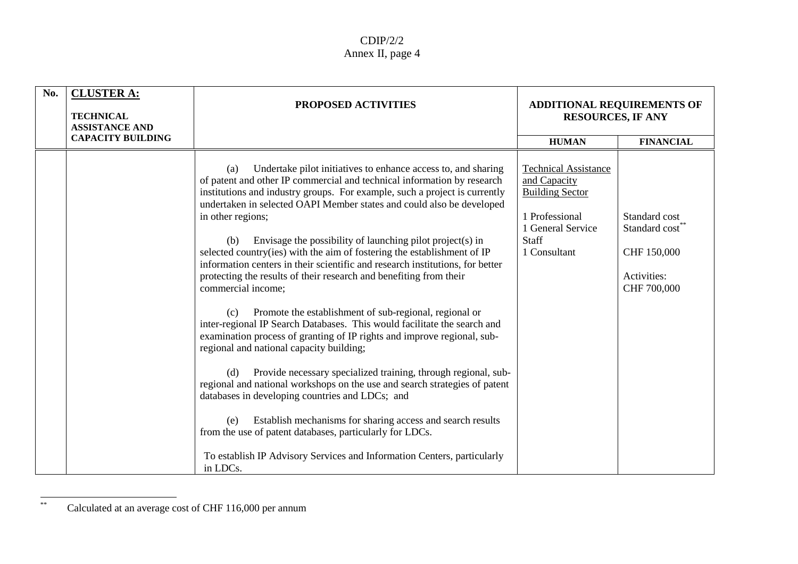| No. | <b>CLUSTER A:</b><br><b>TECHNICAL</b><br><b>ASSISTANCE AND</b> | <b>PROPOSED ACTIVITIES</b>                                                                                                                                                                                                                                                                                                                                                                                                                                                                                                                                                                                                                                                                                                                                                                                                                                                                                                                                                                                                                                                                                                                                                                                                                                                                                                                                    | <b>ADDITIONAL REQUIREMENTS OF</b><br><b>RESOURCES, IF ANY</b>                                                                                |                                                                                          |
|-----|----------------------------------------------------------------|---------------------------------------------------------------------------------------------------------------------------------------------------------------------------------------------------------------------------------------------------------------------------------------------------------------------------------------------------------------------------------------------------------------------------------------------------------------------------------------------------------------------------------------------------------------------------------------------------------------------------------------------------------------------------------------------------------------------------------------------------------------------------------------------------------------------------------------------------------------------------------------------------------------------------------------------------------------------------------------------------------------------------------------------------------------------------------------------------------------------------------------------------------------------------------------------------------------------------------------------------------------------------------------------------------------------------------------------------------------|----------------------------------------------------------------------------------------------------------------------------------------------|------------------------------------------------------------------------------------------|
|     | <b>CAPACITY BUILDING</b>                                       |                                                                                                                                                                                                                                                                                                                                                                                                                                                                                                                                                                                                                                                                                                                                                                                                                                                                                                                                                                                                                                                                                                                                                                                                                                                                                                                                                               | <b>HUMAN</b>                                                                                                                                 | <b>FINANCIAL</b>                                                                         |
|     |                                                                | Undertake pilot initiatives to enhance access to, and sharing<br>(a)<br>of patent and other IP commercial and technical information by research<br>institutions and industry groups. For example, such a project is currently<br>undertaken in selected OAPI Member states and could also be developed<br>in other regions;<br>Envisage the possibility of launching pilot project(s) in<br>(b)<br>selected country(ies) with the aim of fostering the establishment of IP<br>information centers in their scientific and research institutions, for better<br>protecting the results of their research and benefiting from their<br>commercial income;<br>Promote the establishment of sub-regional, regional or<br>(c)<br>inter-regional IP Search Databases. This would facilitate the search and<br>examination process of granting of IP rights and improve regional, sub-<br>regional and national capacity building;<br>Provide necessary specialized training, through regional, sub-<br>(d)<br>regional and national workshops on the use and search strategies of patent<br>databases in developing countries and LDCs; and<br>Establish mechanisms for sharing access and search results<br>(e)<br>from the use of patent databases, particularly for LDCs.<br>To establish IP Advisory Services and Information Centers, particularly<br>in LDCs. | <b>Technical Assistance</b><br>and Capacity<br><b>Building Sector</b><br>1 Professional<br>1 General Service<br><b>Staff</b><br>1 Consultant | Standard cost<br>Standard cost <sup>*</sup><br>CHF 150,000<br>Activities:<br>CHF 700,000 |

<sup>\*\*</sup>Calculated at an average cost of CHF 116,000 per annum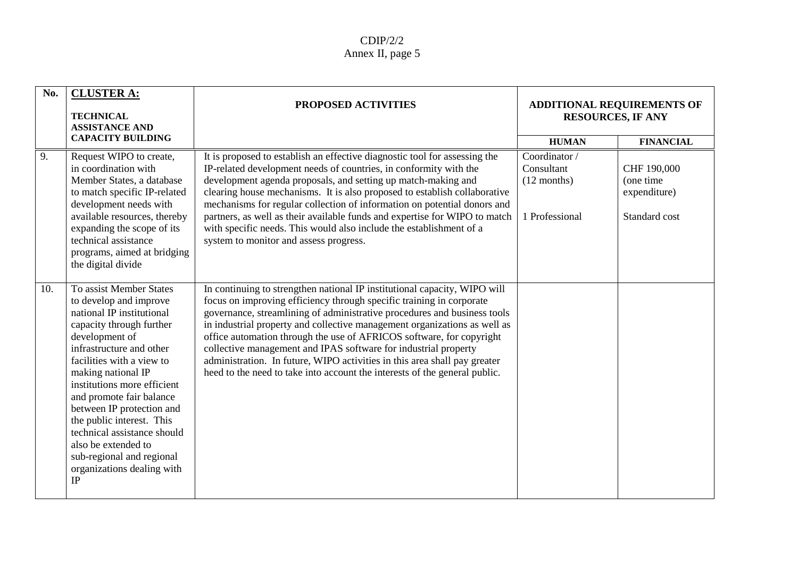| No. | <b>CLUSTER A:</b><br><b>TECHNICAL</b><br><b>ASSISTANCE AND</b>                                                                                                                                                                                                                                                                                                                                                                                                | <b>PROPOSED ACTIVITIES</b>                                                                                                                                                                                                                                                                                                                                                                                                                                                                                                                                                                                       | <b>ADDITIONAL REQUIREMENTS OF</b><br><b>RESOURCES, IF ANY</b> |                                                           |
|-----|---------------------------------------------------------------------------------------------------------------------------------------------------------------------------------------------------------------------------------------------------------------------------------------------------------------------------------------------------------------------------------------------------------------------------------------------------------------|------------------------------------------------------------------------------------------------------------------------------------------------------------------------------------------------------------------------------------------------------------------------------------------------------------------------------------------------------------------------------------------------------------------------------------------------------------------------------------------------------------------------------------------------------------------------------------------------------------------|---------------------------------------------------------------|-----------------------------------------------------------|
|     | <b>CAPACITY BUILDING</b>                                                                                                                                                                                                                                                                                                                                                                                                                                      |                                                                                                                                                                                                                                                                                                                                                                                                                                                                                                                                                                                                                  | <b>HUMAN</b>                                                  | <b>FINANCIAL</b>                                          |
| 9.  | Request WIPO to create,<br>in coordination with<br>Member States, a database<br>to match specific IP-related<br>development needs with<br>available resources, thereby<br>expanding the scope of its<br>technical assistance<br>programs, aimed at bridging<br>the digital divide                                                                                                                                                                             | It is proposed to establish an effective diagnostic tool for assessing the<br>IP-related development needs of countries, in conformity with the<br>development agenda proposals, and setting up match-making and<br>clearing house mechanisms. It is also proposed to establish collaborative<br>mechanisms for regular collection of information on potential donors and<br>partners, as well as their available funds and expertise for WIPO to match<br>with specific needs. This would also include the establishment of a<br>system to monitor and assess progress.                                         | Coordinator/<br>Consultant<br>$(12$ months)<br>1 Professional | CHF 190,000<br>(one time<br>expenditure)<br>Standard cost |
| 10. | To assist Member States<br>to develop and improve<br>national IP institutional<br>capacity through further<br>development of<br>infrastructure and other<br>facilities with a view to<br>making national IP<br>institutions more efficient<br>and promote fair balance<br>between IP protection and<br>the public interest. This<br>technical assistance should<br>also be extended to<br>sub-regional and regional<br>organizations dealing with<br>$\rm IP$ | In continuing to strengthen national IP institutional capacity, WIPO will<br>focus on improving efficiency through specific training in corporate<br>governance, streamlining of administrative procedures and business tools<br>in industrial property and collective management organizations as well as<br>office automation through the use of AFRICOS software, for copyright<br>collective management and IPAS software for industrial property<br>administration. In future, WIPO activities in this area shall pay greater<br>heed to the need to take into account the interests of the general public. |                                                               |                                                           |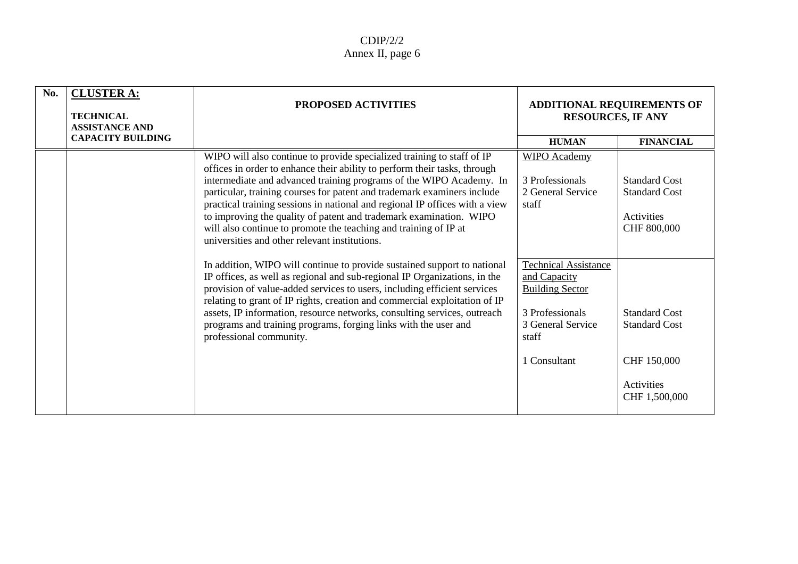| No. | <b>CLUSTER A:</b><br><b>TECHNICAL</b><br><b>ASSISTANCE AND</b> | <b>PROPOSED ACTIVITIES</b>                                                                                                                                                                                                                                                                                                                                                                                                                                                                                                                                                      | <b>ADDITIONAL REQUIREMENTS OF</b><br><b>RESOURCES, IF ANY</b>                                                          |                                                                           |
|-----|----------------------------------------------------------------|---------------------------------------------------------------------------------------------------------------------------------------------------------------------------------------------------------------------------------------------------------------------------------------------------------------------------------------------------------------------------------------------------------------------------------------------------------------------------------------------------------------------------------------------------------------------------------|------------------------------------------------------------------------------------------------------------------------|---------------------------------------------------------------------------|
|     | <b>CAPACITY BUILDING</b>                                       |                                                                                                                                                                                                                                                                                                                                                                                                                                                                                                                                                                                 | <b>HUMAN</b>                                                                                                           | <b>FINANCIAL</b>                                                          |
|     |                                                                | WIPO will also continue to provide specialized training to staff of IP<br>offices in order to enhance their ability to perform their tasks, through<br>intermediate and advanced training programs of the WIPO Academy. In<br>particular, training courses for patent and trademark examiners include<br>practical training sessions in national and regional IP offices with a view<br>to improving the quality of patent and trademark examination. WIPO<br>will also continue to promote the teaching and training of IP at<br>universities and other relevant institutions. | <b>WIPO</b> Academy<br>3 Professionals<br>2 General Service<br>staff                                                   | <b>Standard Cost</b><br><b>Standard Cost</b><br>Activities<br>CHF 800,000 |
|     |                                                                | In addition, WIPO will continue to provide sustained support to national<br>IP offices, as well as regional and sub-regional IP Organizations, in the<br>provision of value-added services to users, including efficient services<br>relating to grant of IP rights, creation and commercial exploitation of IP<br>assets, IP information, resource networks, consulting services, outreach<br>programs and training programs, forging links with the user and<br>professional community.                                                                                       | <b>Technical Assistance</b><br>and Capacity<br><b>Building Sector</b><br>3 Professionals<br>3 General Service<br>staff | <b>Standard Cost</b><br><b>Standard Cost</b>                              |
|     |                                                                |                                                                                                                                                                                                                                                                                                                                                                                                                                                                                                                                                                                 | 1 Consultant                                                                                                           | CHF 150,000<br>Activities<br>CHF 1,500,000                                |